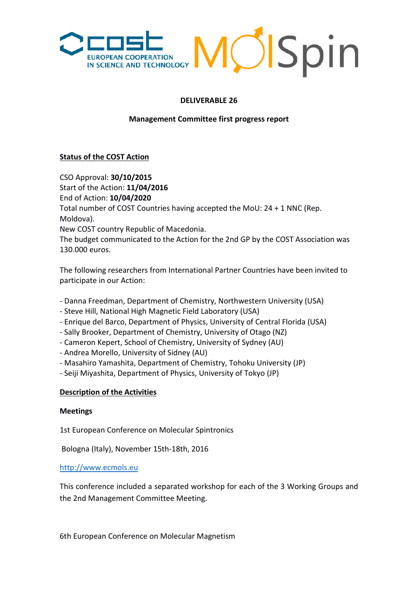

## **DELIVERABLE 26**

### **Management Committee first progress report**

## **Status of the COST Action**

CSO Approval: **30/10/2015**  Start of the Action: **11/04/2016**  End of Action: **10/04/2020**  Total number of COST Countries having accepted the MoU: 24 + 1 NNC (Rep. Moldova). New COST country Republic of Macedonia. The budget communicated to the Action for the 2nd GP by the COST Association was 130.000 euros.

The following researchers from International Partner Countries have been invited to participate in our Action:

- Danna Freedman, Department of Chemistry, Northwestern University (USA)
- Steve Hill, National High Magnetic Field Laboratory (USA)
- Enrique del Barco, Department of Physics, University of Central Florida (USA)
- Sally Brooker, Department of Chemistry, University of Otago (NZ)
- Cameron Kepert, School of Chemistry, University of Sydney (AU)
- Andrea Morello, University of Sidney (AU)
- Masahiro Yamashita, Department of Chemistry, Tohoku University (JP)
- Seiji Miyashita, Department of Physics, University of Tokyo (JP)

### **Description of the Activities**

### **Meetings**

1st European Conference on Molecular Spintronics

Bologna (Italy), November 15th-18th, 2016

[http://www.ecmols.eu](http://www.ecmols.eu/)

This conference included a separated workshop for each of the 3 Working Groups and the 2nd Management Committee Meeting.

6th European Conference on Molecular Magnetism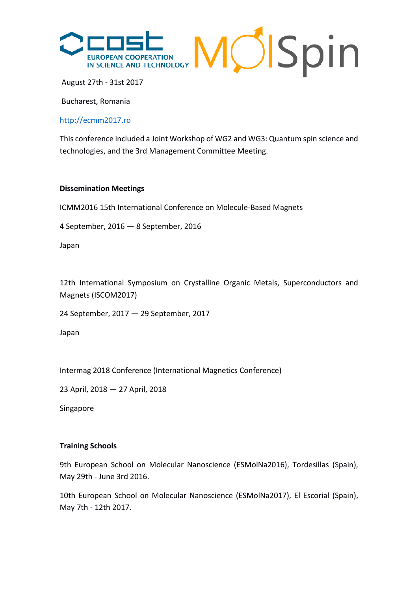

August 27th - 31st 2017

Bucharest, Romania

## [http://ecmm2017.ro](http://ecmm2017.ro/)

This conference included a Joint Workshop of WG2 and WG3: Quantum spin science and technologies, and the 3rd Management Committee Meeting.

#### **Dissemination Meetings**

ICMM2016 15th International Conference on Molecule-Based Magnets

4 September, 2016 — 8 September, 2016

Japan

12th International Symposium on Crystalline Organic Metals, Superconductors and Magnets (ISCOM2017)

24 September, 2017 — 29 September, 2017

Japan

Intermag 2018 Conference (International Magnetics Conference)

23 April, 2018 — 27 April, 2018

Singapore

### **Training Schools**

9th European School on Molecular Nanoscience (ESMolNa2016), Tordesillas (Spain), May 29th - June 3rd 2016.

10th European School on Molecular Nanoscience (ESMolNa2017), El Escorial (Spain), May 7th - 12th 2017.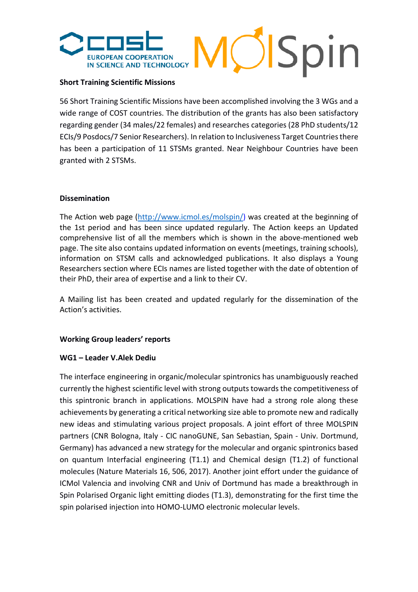

### **Short Training Scientific Missions**

56 Short Training Scientific Missions have been accomplished involving the 3 WGs and a wide range of COST countries. The distribution of the grants has also been satisfactory regarding gender (34 males/22 females) and researches categories (28 PhD students/12 ECIs/9 Posdocs/7 Senior Researchers). In relation to Inclusiveness Target Countries there has been a participation of 11 STSMs granted. Near Neighbour Countries have been granted with 2 STSMs.

## **Dissemination**

The Action web page [\(http://www.icmol.es/molspin/\)](http://www.icmol.es/molspin/) was created at the beginning of the 1st period and has been since updated regularly. The Action keeps an Updated comprehensive list of all the members which is shown in the above-mentioned web page. The site also contains updated information on events (meetings, training schools), information on STSM calls and acknowledged publications. It also displays a Young Researchers section where ECIs names are listed together with the date of obtention of their PhD, their area of expertise and a link to their CV.

A Mailing list has been created and updated regularly for the dissemination of the Action's activities.

### **Working Group leaders' reports**

### **WG1 – Leader V.Alek Dediu**

The interface engineering in organic/molecular spintronics has unambiguously reached currently the highest scientific level with strong outputs towards the competitiveness of this spintronic branch in applications. MOLSPIN have had a strong role along these achievements by generating a critical networking size able to promote new and radically new ideas and stimulating various project proposals. A joint effort of three MOLSPIN partners (CNR Bologna, Italy - CIC nanoGUNE, San Sebastian, Spain - Univ. Dortmund, Germany) has advanced a new strategy for the molecular and organic spintronics based on quantum Interfacial engineering (T1.1) and Chemical design (T1.2) of functional molecules (Nature Materials 16, 506, 2017). Another joint effort under the guidance of ICMol Valencia and involving CNR and Univ of Dortmund has made a breakthrough in Spin Polarised Organic light emitting diodes (T1.3), demonstrating for the first time the spin polarised injection into HOMO-LUMO electronic molecular levels.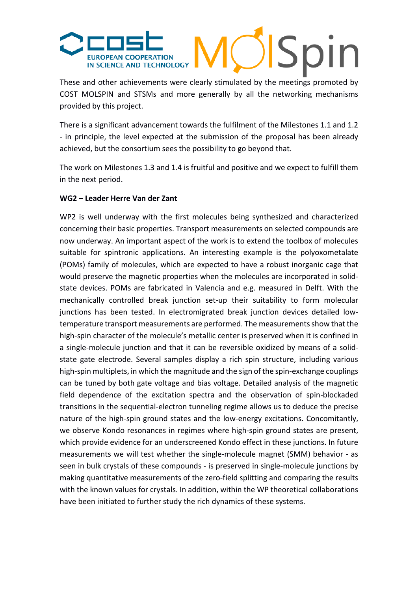

These and other achievements were clearly stimulated by the meetings promoted by COST MOLSPIN and STSMs and more generally by all the networking mechanisms provided by this project.

There is a significant advancement towards the fulfilment of the Milestones 1.1 and 1.2 - in principle, the level expected at the submission of the proposal has been already achieved, but the consortium sees the possibility to go beyond that.

The work on Milestones 1.3 and 1.4 is fruitful and positive and we expect to fulfill them in the next period.

## **WG2 – Leader Herre Van der Zant**

WP2 is well underway with the first molecules being synthesized and characterized concerning their basic properties. Transport measurements on selected compounds are now underway. An important aspect of the work is to extend the toolbox of molecules suitable for spintronic applications. An interesting example is the polyoxometalate (POMs) family of molecules, which are expected to have a robust inorganic cage that would preserve the magnetic properties when the molecules are incorporated in solidstate devices. POMs are fabricated in Valencia and e.g. measured in Delft. With the mechanically controlled break junction set-up their suitability to form molecular junctions has been tested. In electromigrated break junction devices detailed lowtemperature transport measurements are performed. The measurements show that the high-spin character of the molecule's metallic center is preserved when it is confined in a single-molecule junction and that it can be reversible oxidized by means of a solidstate gate electrode. Several samples display a rich spin structure, including various high-spin multiplets, in which the magnitude and the sign of the spin-exchange couplings can be tuned by both gate voltage and bias voltage. Detailed analysis of the magnetic field dependence of the excitation spectra and the observation of spin-blockaded transitions in the sequential-electron tunneling regime allows us to deduce the precise nature of the high-spin ground states and the low-energy excitations. Concomitantly, we observe Kondo resonances in regimes where high-spin ground states are present, which provide evidence for an underscreened Kondo effect in these junctions. In future measurements we will test whether the single-molecule magnet (SMM) behavior - as seen in bulk crystals of these compounds - is preserved in single-molecule junctions by making quantitative measurements of the zero-field splitting and comparing the results with the known values for crystals. In addition, within the WP theoretical collaborations have been initiated to further study the rich dynamics of these systems.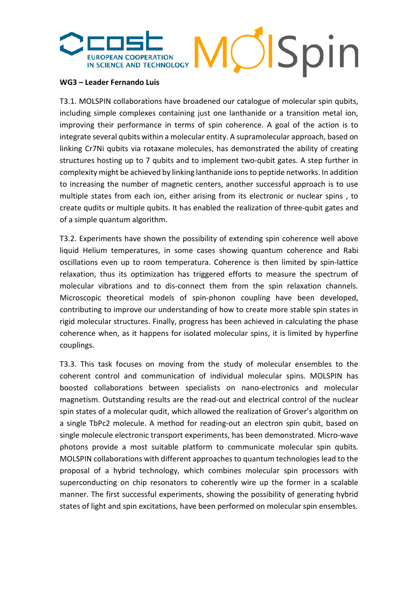# OlSpin EUROPEAN COOPERATION<br>IN SCIENCE AND TECHNOLOGY

### **WG3 – Leader Fernando Luis**

T3.1. MOLSPIN collaborations have broadened our catalogue of molecular spin qubits, including simple complexes containing just one lanthanide or a transition metal ion, improving their performance in terms of spin coherence. A goal of the action is to integrate several qubits within a molecular entity. A supramolecular approach, based on linking Cr7Ni qubits via rotaxane molecules, has demonstrated the ability of creating structures hosting up to 7 qubits and to implement two-qubit gates. A step further in complexity might be achieved by linking lanthanide ions to peptide networks. In addition to increasing the number of magnetic centers, another successful approach is to use multiple states from each ion, either arising from its electronic or nuclear spins , to create qudits or multiple qubits. It has enabled the realization of three-qubit gates and of a simple quantum algorithm.

T3.2. Experiments have shown the possibility of extending spin coherence well above liquid Helium temperatures, in some cases showing quantum coherence and Rabi oscillations even up to room temperatura. Coherence is then limited by spin-lattice relaxation, thus its optimization has triggered efforts to measure the spectrum of molecular vibrations and to dis-connect them from the spin relaxation channels. Microscopic theoretical models of spin-phonon coupling have been developed, contributing to improve our understanding of how to create more stable spin states in rigid molecular structures. Finally, progress has been achieved in calculating the phase coherence when, as it happens for isolated molecular spins, it is limited by hyperfine couplings.

T3.3. This task focuses on moving from the study of molecular ensembles to the coherent control and communication of individual molecular spins. MOLSPIN has boosted collaborations between specialists on nano-electronics and molecular magnetism. Outstanding results are the read-out and electrical control of the nuclear spin states of a molecular qudit, which allowed the realization of Grover's algorithm on a single TbPc2 molecule. A method for reading-out an electron spin qubit, based on single molecule electronic transport experiments, has been demonstrated. Micro-wave photons provide a most suitable platform to communicate molecular spin qubits. MOLSPIN collaborations with different approaches to quantum technologies lead to the proposal of a hybrid technology, which combines molecular spin processors with superconducting on chip resonators to coherently wire up the former in a scalable manner. The first successful experiments, showing the possibility of generating hybrid states of light and spin excitations, have been performed on molecular spin ensembles.